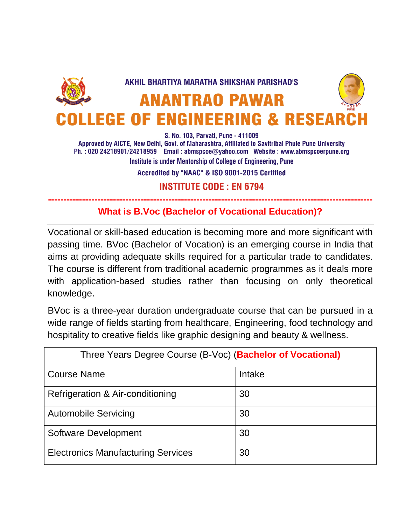

S. No. 103, Parvati, Pune - 411009

Approved by AICTE, New Delhi, Govt. of Maharashtra, Affiliated to Savitribai Phule Pune University Ph.: 020 24218901/24218959 Email: abmspcoe@yahoo.com Website: www.abmspcoerpune.org Institute is under Mentorship of College of Engineering, Pune

Accredited by "NAAC" & ISO 9001-2015 Certified

**INSTITUTE CODE: EN 6794** 

## **--------------------------------------------------------------------------------------------------------- What is B.Voc (Bachelor of Vocational Education)?**

Vocational or skill-based education is becoming more and more significant with passing time. BVoc (Bachelor of Vocation) is an emerging course in India that aims at providing adequate skills required for a particular trade to candidates. The course is different from traditional academic programmes as it deals more with application-based studies rather than focusing on only theoretical knowledge.

BVoc is a three-year duration undergraduate course that can be pursued in a wide range of fields starting from healthcare, Engineering, food technology and hospitality to creative fields like graphic designing and beauty & wellness.

| Three Years Degree Course (B-Voc) (Bachelor of Vocational) |        |  |
|------------------------------------------------------------|--------|--|
| <b>Course Name</b>                                         | Intake |  |
| Refrigeration & Air-conditioning                           | 30     |  |
| <b>Automobile Servicing</b>                                | 30     |  |
| <b>Software Development</b>                                | 30     |  |
| <b>Electronics Manufacturing Services</b>                  | 30     |  |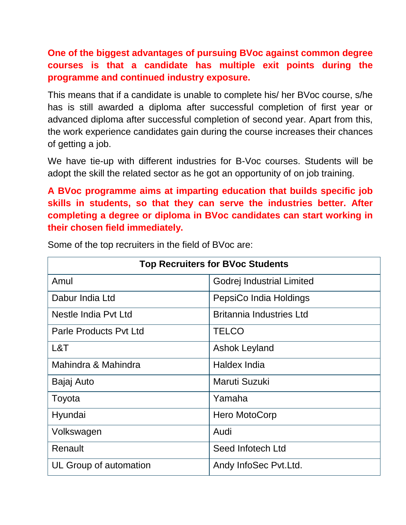**One of the biggest advantages of pursuing BVoc against common degree courses is that a candidate has multiple exit points during the programme and continued industry exposure.**

This means that if a candidate is unable to complete his/ her BVoc course, s/he has is still awarded a diploma after successful completion of first year or advanced diploma after successful completion of second year. Apart from this, the work experience candidates gain during the course increases their chances of getting a job.

We have tie-up with different industries for B-Voc courses. Students will be adopt the skill the related sector as he got an opportunity of on job training.

**A BVoc programme aims at imparting education that builds specific job skills in students, so that they can serve the industries better. After completing a degree or diploma in BVoc candidates can start working in their chosen field immediately.** 

| <b>Top Recruiters for BVoc Students</b> |                                 |  |
|-----------------------------------------|---------------------------------|--|
| Amul                                    | Godrej Industrial Limited       |  |
| Dabur India Ltd                         | PepsiCo India Holdings          |  |
| Nestle India Pvt Ltd                    | <b>Britannia Industries Ltd</b> |  |
| <b>Parle Products Pyt Ltd</b>           | <b>TELCO</b>                    |  |
| L&T                                     | Ashok Leyland                   |  |
| Mahindra & Mahindra                     | Haldex India                    |  |
| Bajaj Auto                              | Maruti Suzuki                   |  |
| Toyota                                  | Yamaha                          |  |
| Hyundai                                 | Hero MotoCorp                   |  |
| Volkswagen                              | Audi                            |  |
| Renault                                 | Seed Infotech Ltd               |  |
| UL Group of automation                  | Andy InfoSec Pvt.Ltd.           |  |

Some of the top recruiters in the field of BVoc are: